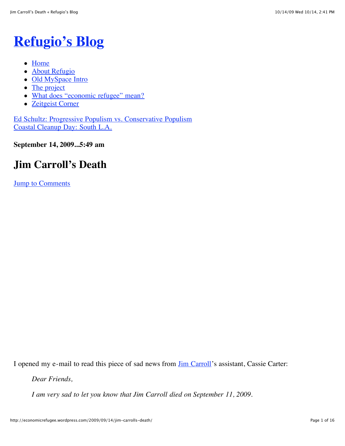# **[Refugio's Blog](http://economicrefugee.wordpress.com/)**

- [Home](http://economicrefugee.wordpress.com/)
- [About Refugio](http://economicrefugee.wordpress.com/about/)
- [Old MySpace Intro](http://economicrefugee.wordpress.com/old-myspace-intro/)
- [The project](http://economicrefugee.wordpress.com/about-project-economic-refugee/)
- [What does "economic refugee" mean?](http://economicrefugee.wordpress.com/what-does-economic-refugee-mean/)
- [Zeitgeist Corner](http://economicrefugee.wordpress.com/zeitgeist/)

[Ed Schultz: Progressive Populism vs. Conservative Populism](http://economicrefugee.wordpress.com/2009/09/07/ed-schultz-progressive-populism-vs-conservative-populism/) [Coastal Cleanup Day: South L.A.](http://economicrefugee.wordpress.com/2009/09/21/coastal-cleanup-day-south-l-a/)

**September 14, 2009...5:49 am**

# **Jim Carroll's Death**

[Jump to Comments](http://economicrefugee.wordpress.com/2009/09/14/jim-carrolls-death/#comments)

I opened my e-mail to read this piece of sad news from [Jim Carroll'](http://en.wikipedia.org/wiki/Jim_Carroll)s assistant, Cassie Carter:

*Dear Friends,*

*I am very sad to let you know that Jim Carroll died on September 11, 2009.*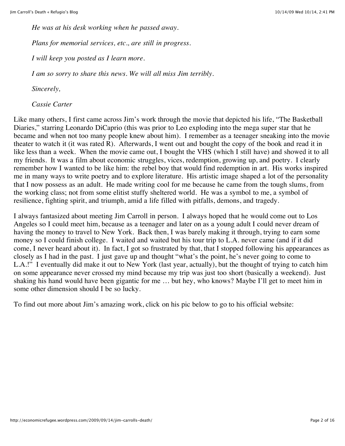*He was at his desk working when he passed away.*

*Plans for memorial services, etc., are still in progress.*

*I will keep you posted as I learn more.*

*I am so sorry to share this news. We will all miss Jim terribly.*

*Sincerely,*

*Cassie Carter*

Like many others, I first came across Jim's work through the movie that depicted his life, "The Basketball Diaries," starring Leonardo DiCaprio (this was prior to Leo exploding into the mega super star that he became and when not too many people knew about him). I remember as a teenager sneaking into the movie theater to watch it (it was rated  $\overline{R}$ ). Afterwards, I went out and bought the copy of the book and read it in like less than a week. When the movie came out, I bought the VHS (which I still have) and showed it to all my friends. It was a film about economic struggles, vices, redemption, growing up, and poetry. I clearly remember how I wanted to be like him: the rebel boy that would find redemption in art. His works inspired me in many ways to write poetry and to explore literature. His artistic image shaped a lot of the personality that I now possess as an adult. He made writing cool for me because he came from the tough slums, from the working class; not from some elitist stuffy sheltered world. He was a symbol to me, a symbol of resilience, fighting spirit, and triumph, amid a life filled with pitfalls, demons, and tragedy.

I always fantasized about meeting Jim Carroll in person. I always hoped that he would come out to Los Angeles so I could meet him, because as a teenager and later on as a young adult I could never dream of having the money to travel to New York. Back then, I was barely making it through, trying to earn some money so I could finish college. I waited and waited but his tour trip to L.A. never came (and if it did come, I never heard about it). In fact, I got so frustrated by that, that I stopped following his appearances as closely as I had in the past. I just gave up and thought "what's the point, he's never going to come to L.A.!" I eventually did make it out to New York (last year, actually), but the thought of trying to catch him on some appearance never crossed my mind because my trip was just too short (basically a weekend). Just shaking his hand would have been gigantic for me … but hey, who knows? Maybe I'll get to meet him in some other dimension should I be so lucky.

To find out more about Jim's amazing work, click on his pic below to go to his official website: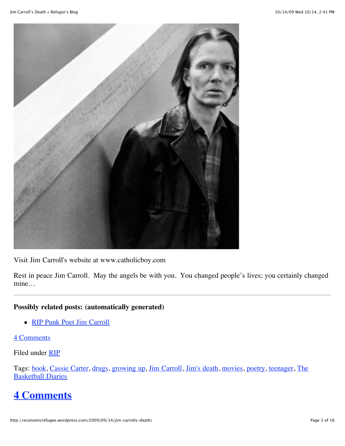

Visit Jim Carroll's website at www.catholicboy.com

Rest in peace Jim Carroll. May the angels be with you. You changed people's lives; you certainly changed mine…

#### **Possibly related posts: (automatically generated)**

• [RIP Punk Poet Jim Carroll](http://www.cinematical.com/2009/09/14/rip-punk-poet-jim-carroll)

#### [4 Comments](http://economicrefugee.wordpress.com/2009/09/14/jim-carrolls-death/#comments)

Filed under [RIP](http://en.wordpress.com/tag/rip/)

[Tags: book, Cassie Carter, drugs, growing up, Jim Carroll, Jim](http://en.wordpress.com/tag/the-basketball-diaries/)['](http://en.wordpress.com/tag/jims-death/)[s death, movies, poetry, teenager, The](http://en.wordpress.com/tag/the-basketball-diaries/) **Basketball Diaries** 

# **[4 Comments](http://economicrefugee.wordpress.com/2009/09/14/jim-carrolls-death/#comments)**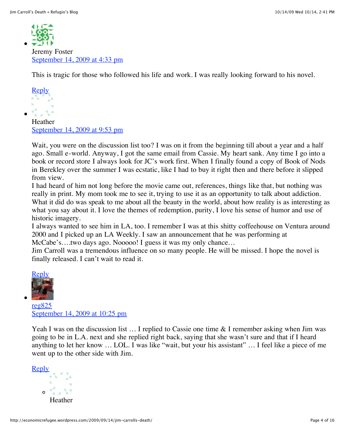

Jeremy Foster [September 14, 2009 at 4:33 pm](http://economicrefugee.wordpress.com/2009/09/14/jim-carrolls-death/#comment-121)

This is tragic for those who followed his life and work. I was really looking forward to his novel.



Heather [September 14, 2009 at 9:53 pm](http://economicrefugee.wordpress.com/2009/09/14/jim-carrolls-death/#comment-122)

Wait, you were on the discussion list too? I was on it from the beginning till about a year and a half ago. Small e-world. Anyway, I got the same email from Cassie. My heart sank. Any time I go into a book or record store I always look for JC's work first. When I finally found a copy of Book of Nods in Berekley over the summer I was ecstatic, like I had to buy it right then and there before it slipped from view.

I had heard of him not long before the movie came out, references, things like that, but nothing was really in print. My mom took me to see it, trying to use it as an opportunity to talk about addiction. What it did do was speak to me about all the beauty in the world, about how reality is as interesting as what you say about it. I love the themes of redemption, purity, I love his sense of humor and use of historic imagery.

I always wanted to see him in LA, too. I remember I was at this shitty coffeehouse on Ventura around 2000 and I picked up an LA Weekly. I saw an announcement that he was performing at McCabe's….two days ago. Nooooo! I guess it was my only chance...

Jim Carroll was a tremendous influence on so many people. He will be missed. I hope the novel is finally released. I can't wait to read it.



[reg825](http://www.economicrefugee.wordpress.com/) [September 14, 2009 at 10:25 pm](http://economicrefugee.wordpress.com/2009/09/14/jim-carrolls-death/#comment-123)

Yeah I was on the discussion list ... I replied to Cassie one time & I remember asking when Jim was going to be in L.A. next and she replied right back, saying that she wasn't sure and that if I heard anything to let her know … LOL. I was like "wait, but your his assistant" … I feel like a piece of me went up to the other side with Jim.

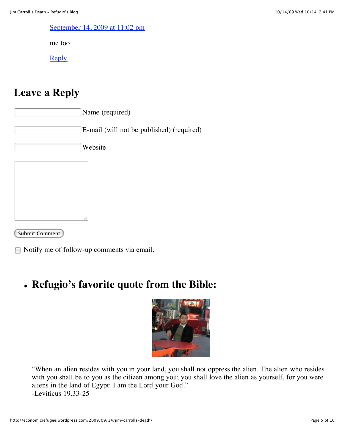[September 14, 2009 at 11:02 pm](http://economicrefugee.wordpress.com/2009/09/14/jim-carrolls-death/#comment-124)

me too.

**[Reply](http://economicrefugee.wordpress.com/2009/09/14/jim-carrolls-death/?replytocom=124#respond)** 

# **Leave a Reply**

Name (required) E-mail (will not be published) (required) Website

Submit Comment

Notify me of follow-up comments via email.

# **Refugio's favorite quote from the Bible:**



"When an alien resides with you in your land, you shall not oppress the alien. The alien who resides with you shall be to you as the citizen among you; you shall love the alien as yourself, for you were aliens in the land of Egypt: I am the Lord your God." -Leviticus 19.33-25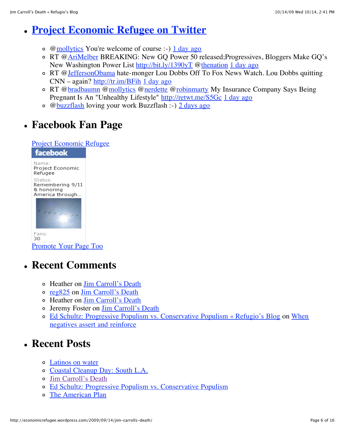#### **[Project Economic Refugee on Twitter](http://twitter.com/economicrefugee)**

- $\circ$  [@mollytics](http://twitter.com/mollytics) You're welcome of course :-)  $\frac{1 \text{ day ago}}{1 \text{ day ago}}$
- o RT [@AriMelber](http://twitter.com/AriMelber) BREAKING: New GQ Power 50 released; Progressives, Bloggers Make GQ's New Washington Power List<http://bit.ly/1390yT> @[thenation](http://twitter.com/thenation) [1 day ago](http://twitter.com/economicrefugee/statuses/4839441063)
- o RT [@JeffersonObama](http://twitter.com/JeffersonObama) hate-monger Lou Dobbs Off To Fox News Watch. Lou Dobbs quitting CNN – again?<http://tr.im/BFih> [1 day ago](http://twitter.com/economicrefugee/statuses/4839217314)
- o RT [@bradbaumn](http://twitter.com/bradbaumn) @[mollytics](http://twitter.com/mollytics) [@nerdette](http://twitter.com/nerdette) @[robinmarty](http://twitter.com/robinmarty) My Insurance Company Says Being Pregnant Is An "Unhealthy Lifestyle"<http://retwt.me/S5Gc> [1 day ago](http://twitter.com/economicrefugee/statuses/4839162270)
- [@buzzflash](http://twitter.com/buzzflash) loving your work Buzzflash :-) [2 days ago](http://twitter.com/economicrefugee/statuses/4812190047)

# **Facebook Fan Page**

[Project Economic Refugee](http://www.facebook.com/pages/Project-Economic-Refugee/147428236408)

| facebook                                                     |
|--------------------------------------------------------------|
| Name:<br>Project Economic<br>Refugee                         |
| Status:<br>Remembering 9/11<br>& honoring<br>America through |
|                                                              |

Fans: 30 [Promote Your Page Too](http://www.facebook.com/business/dashboard/)

# **Recent Comments**

- Heather on [Jim Carroll's Death](http://economicrefugee.wordpress.com/2009/09/14/jim-carrolls-death/#comment-124)
- [reg825](http://www.economicrefugee.wordpress.com/) on [Jim Carroll's Death](http://economicrefugee.wordpress.com/2009/09/14/jim-carrolls-death/#comment-123)
- Heather on [Jim Carroll's Death](http://economicrefugee.wordpress.com/2009/09/14/jim-carrolls-death/#comment-122)
- Jeremy Foster on [Jim Carroll's Death](http://economicrefugee.wordpress.com/2009/09/14/jim-carrolls-death/#comment-121)
- [Ed Schultz: Progressive Populism vs. Conservative Populism « Refugio's Blog on When](http://economicrefugee.wordpress.com/2009/03/22/when-negatives-assert-and-reinforce/#comment-118) negatives assert and reinforce

# **Recent Posts**

- [Latinos on water](http://economicrefugee.wordpress.com/2009/10/11/latinos-on-water/)
- [Coastal Cleanup Day: South L.A.](http://economicrefugee.wordpress.com/2009/09/21/coastal-cleanup-day-south-l-a/)
- [Jim Carroll's Death](http://economicrefugee.wordpress.com/2009/09/14/jim-carrolls-death/)
- [Ed Schultz: Progressive Populism vs. Conservative Populism](http://economicrefugee.wordpress.com/2009/09/07/ed-schultz-progressive-populism-vs-conservative-populism/)
- [The American Plan](http://economicrefugee.wordpress.com/2009/08/31/the-american-plan/)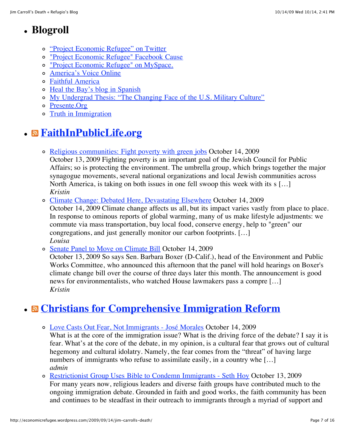# **Blogroll**

- ["Project Economic Refugee" on Twitter](http://twitter.com/economicrefugee)
- ["Project Economic Refugee" Facebook Cause](http://apps.facebook.com/causes/51749?m=de0957a2)
- ["Project Economic Refugee" on MySpace.](http://www.myspace.com/economicrefugee)
- [America's Voice Online](http://www.americasvoiceonline.org/)
- [Faithful America](http://www.faithfulamerica.org/)
- o [Heal the Bay's blog in Spanish](http://www.htblatino.blogspot.com/)
- [My Undergrad Thesis: "The Changing Face of the U.S. Military Culture"](http://www.geocities.com/rmata825/Changing_Face_Military_Culture_Thesis.htm)
- [Presente.Org](http://www.presente.org/)
- [Truth in Immigration](http://www.truthinimmigration.org/Home.aspx)

# **[FaithInPublicLife.org](http://blog.faithinpubliclife.org/mt/mt-atom.cgi/weblog/blog_id=5)**

- o [Religious communities: Fight poverty with green jobs](http://faithinpubliclife.org/content/news/2009/10/religious_communities_fight_po.html) October 14, 2009 October 13, 2009 Fighting poverty is an important goal of the Jewish Council for Public Affairs; so is protecting the environment. The umbrella group, which brings together the major synagogue movements, several national organizations and local Jewish communities across North America, is taking on both issues in one fell swoop this week with its s […] *Kristin*
- [Climate Change: Debated Here, Devastating Elsewhere](http://faithinpubliclife.org/content/news/2009/10/climate_change_debated_here_de.html) October 14, 2009

October 14, 2009 Climate change affects us all, but its impact varies vastly from place to place. In response to ominous reports of global warming, many of us make lifestyle adjustments: we commute via mass transportation, buy local food, conserve energy, help to "green" our congregations, and just generally monitor our carbon footprints. […] *Louisa*

[Senate Panel to Move on Climate Bill](http://faithinpubliclife.org/content/news/2009/10/senate_panel_to_move_on_climat.html) October 14, 2009

October 13, 2009 So says Sen. Barbara Boxer (D-Calif.), head of the Environment and Public Works Committee, who announced this afternoon that the panel will hold hearings on Boxer's climate change bill over the course of three days later this month. The announcement is good news for environmentalists, who watched House lawmakers pass a compre […] *Kristin*

# **[Christians for Comprehensive Immigration Reform](http://faithandimmigration.org/blog)**

[Love Casts Out Fear, Not Immigrants - José Morales](http://faithandimmigration.org/blog/love-casts-out-fear-not-immigrants-jos%C3%A9-morales) October 14, 2009

What is at the core of the immigration issue? What is the driving force of the debate? I say it is fear. What's at the core of the debate, in my opinion, is a cultural fear that grows out of cultural hegemony and cultural idolatry. Namely, the fear comes from the "threat" of having large numbers of immigrants who refuse to assimilate easily, in a country whe [...] *admin*

[Restrictionist Group Uses Bible to Condemn Immigrants - Seth Hoy](http://faithandimmigration.org/blog/restrictionist-group-uses-bible-condemn-immigrants-seth-hoy) October 13, 2009 For many years now, religious leaders and diverse faith groups have contributed much to the ongoing immigration debate. Grounded in faith and good works, the faith community has been and continues to be steadfast in their outreach to immigrants through a myriad of support and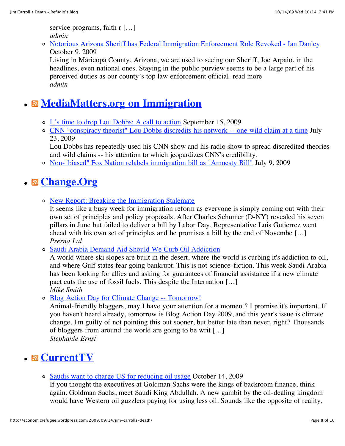service programs, faith r [...] *admin*

[Notorious Arizona Sheriff has Federal Immigration Enforcement Role Revoked - Ian Danley](http://faithandimmigration.org/node/269) October 9, 2009

Living in Maricopa County, Arizona, we are used to seeing our Sheriff, Joe Arpaio, in the headlines, even national ones. Staying in the public purview seems to be a large part of his perceived duties as our county's top law enforcement official. read more *admin*

# **[MediaMatters.org on Immigration](http://mediamatters.org/)**

- o [It's time to drop Lou Dobbs: A call to action](http://mediamatters.org/blog/200909150031) September 15, 2009
- [CNN "conspiracy theorist" Lou Dobbs discredits his network -- one wild claim at a time](http://mediamatters.org/research/200907230035) July 23, 2009

Lou Dobbs has repeatedly used his CNN show and his radio show to spread discredited theories and wild claims -- his attention to which jeopardizes CNN's credibility.

[Non-"biased" Fox Nation relabels immigration bill as "Amnesty Bill"](http://mediamatters.org/blog/200907090010) July 9, 2009

# **[Change.Org](http://www.change.org/causes)**

o [New Report: Breaking the Immigration Stalemate](http://immigration.change.org/blog/view/new_report_breaking_the_immigration_stalemate)

It seems like a busy week for immigration reform as everyone is simply coming out with their own set of principles and policy proposals. After Charles Schumer (D-NY) revealed his seven pillars in June but failed to deliver a bill by Labor Day, Representative Luis Gutierrez went ahead with his own set of principles and he promises a bill by the end of Novembe […] *Prerna Lal*

o [Saudi Arabia Demand Aid Should We Curb Oil Addiction](http://globalwarming.change.org/blog/view/saudi_arabia_demand_aid_should_we_curb_oil_addiction)

A world where ski slopes are built in the desert, where the world is curbing it's addiction to oil, and where Gulf states fear going bankrupt. This is not science-fiction. This week Saudi Arabia has been looking for allies and asking for guarantees of financial assistance if a new climate pact cuts the use of fossil fuels. This despite the Internation […] *Mike Smith*

[Blog Action Day for Climate Change -- Tomorrow!](http://animalrights.change.org/blog/view/blog_action_day_for_climate_change_--_tomorrow)

Animal-friendly bloggers, may I have your attention for a moment? I promise it's important. If you haven't heard already, tomorrow is Blog Action Day 2009, and this year's issue is climate change. I'm guilty of not pointing this out sooner, but better late than never, right? Thousands of bloggers from around the world are going to be writ […] *Stephanie Ernst*

# **[CurrentTV](http://current.com/?xid=RSSfeed)**

[Saudis want to charge US for reducing oil usage](http://current.com/items/91176993_saudis-want-to-charge-us-for-reducing-oil-usage.htm?xid=RSSfeed) October 14, 2009

If you thought the executives at Goldman Sachs were the kings of backroom finance, think again. Goldman Sachs, meet Saudi King Abdullah. A new gambit by the oil-dealing kingdom would have Western oil guzzlers paying for using less oil. Sounds like the opposite of reality,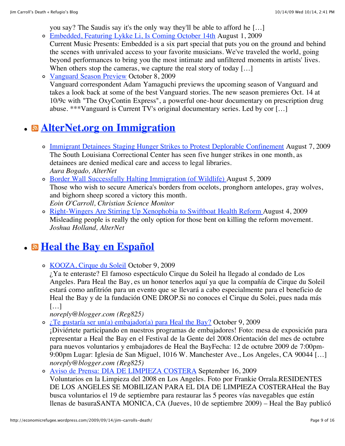you say? The Saudis say it's the only way they'll be able to afford he […]

- [Embedded, Featuring Lykke Li, Is Coming October 14th](http://current.com/items/90577553_embedded-featuring-lykke-li-is-coming-october-14th.htm?xid=RSSfeed) August 1, 2009 Current Music Presents: Embedded is a six part special that puts you on the ground and behind the scenes with unrivaled access to your favorite musicians. We've traveled the world, going beyond performances to bring you the most intimate and unfiltered moments in artists' lives.
	- When others stop the cameras, we capture the real story of today [...]
- [Vanguard Season Preview](http://current.com/items/91123162_vanguard-season-preview.htm?xid=RSSfeed) October 8, 2009 Vanguard correspondent Adam Yamaguchi previews the upcoming season of Vanguard and takes a look back at some of the best Vanguard stories. The new season premieres Oct. 14 at 10/9c with "The OxyContin Express", a powerful one-hour documentary on prescription drug abuse. \*\*\*Vanguard is Current TV's original documentary series. Led by cor […]

# **[AlterNet.org on Immigration](http://www.alternet.org/)**

- o [Immigrant Detainees Staging Hunger Strikes to Protest Deplorable Confinement](http://feeds.feedblitz.com/~/790116/q0ctl/alternet_immigration~Immigrant-Detainees-Staging-Hunger-Strikes-to-Protest-Deplorable-Confinement) August 7, 2009 The South Louisiana Correctional Center has seen five hunger strikes in one month, as detainees are denied medical care and access to legal libraries. *Aura Bogado, AlterNet*
- [Border Wall Successfully Halting Immigration \(of Wildlife\)](http://feeds.feedblitz.com/~/776442/q0ctl/alternet_immigration~Border-Wall-Successfully-Halting-Immigration-of-Wildlife) August 5, 2009 Those who wish to secure America's borders from ocelots, pronghorn antelopes, gray wolves, and bighorn sheep scored a victory this month. *Eoin O'Carroll, Christian Science Monitor*
- [Right-Wingers Are Stirring Up Xenophobia to Swiftboat Health Reform A](http://feeds.feedblitz.com/~/761004/q0ctl/alternet_immigration~RightWingers-Are-Stirring-Up-Xenophobia-to-Swiftboat-Health-Reform)ugust 4, 2009 Misleading people is really the only option for those bent on killing the reform movement. *Joshua Holland, AlterNet*

#### **B** [Heal the Bay en Español](http://htblatino.blogspot.com/)

o [KOOZA, Cirque du Soleil](http://htblatino.blogspot.com/2009/10/kooza-cirque-du-soleil.html) October 9, 2009

¿Ya te enteraste? El famoso espectáculo Cirque du Soleil ha llegado al condado de Los Angeles. Para Heal the Bay, es un honor tenerlos aquí ya que la compañía de Cirque du Soleil estará como anfitrión para un evento que se llevará a cabo especialmente para el beneficio de Heal the Bay y de la fundación ONE DROP.Si no conoces el Cirque du Solei, pues nada más […]

*noreply@blogger.com (Reg825)*

[¿Te gustaría ser un\(a\) embajador\(a\) para Heal the Bay?](http://htblatino.blogspot.com/2009/10/te-gustaria-ser-un-embajador-de-heal.html) October 9, 2009

¡Diviértete participando en nuestros programas de embajadores! Foto: mesa de exposición para representar a Heal the Bay en el Festival de la Gente del 2008.Orientación del mes de octubre para nuevos voluntarios y embajadores de Heal the BayFecha: 12 de octubre 2009 de 7:00pm-9:00pm Lugar: Iglesia de San Miguel, 1016 W. Manchester Ave., Los Angeles, CA 90044 […] *noreply@blogger.com (Reg825)*

[Aviso de Prensa: DIA DE LIMPIEZA COSTERA](http://htblatino.blogspot.com/2009/09/aviso-de-prensa-dia-de-limpieza-costera.html) September 16, 2009 Voluntarios en la Limpieza del 2008 en Los Angeles. Foto por Frankie Orrala.RESIDENTES DE LOS ANGELES SE MOBILIZAN PARA EL DIA DE LIMPIEZA COSTERAHeal the Bay busca voluntarios el 19 de septiembre para restaurar las 5 peores vías navegables que están llenas de basuraSANTA MONICA, CA (Jueves, 10 de septiembre 2009) – Heal the Bay publicó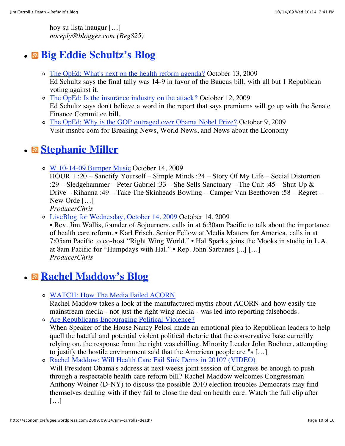hoy su lista inaugur […] *noreply@blogger.com (Reg825)*

# **[Big Eddie Schultz's Blog](http://www.wegoted.com/blog/)**

- o [The OpEd: What's next on the health reform agenda?](http://www.wegoted.com/blog/blog-details2.asp?BID=190) October 13, 2009 Ed Schultz says the final tally was 14-9 in favor of the Baucus bill, with all but 1 Republican voting against it.
- o [The OpEd: Is the insurance industry on the attack?](http://www.wegoted.com/blog/blog-details2.asp?BID=189) October 12, 2009 Ed Schultz says don't believe a word in the report that says premiums will go up with the Senate Finance Committee bill.
- o [The OpEd: Why is the GOP outraged over Obama Nobel Prize?](http://www.wegoted.com/blog/blog-details2.asp?BID=188) October 9, 2009 Visit msnbc.com for Breaking News, World News, and News about the Economy

# **[Stephanie Miller](http://www.stephaniemiller.com/)**

o [W 10-14-09 Bumper Music](http://www.stephaniemiller.com/2009/10/14/w-10-14-09-bumper-music/) October 14, 2009

HOUR 1 :20 – Sanctify Yourself – Simple Minds :24 – Story Of My Life – Social Distortion :29 – Sledgehammer – Peter Gabriel :33 – She Sells Sanctuary – The Cult :45 – Shut Up & Drive – Rihanna :49 – Take The Skinheads Bowling – Camper Van Beethoven :58 – Regret – New Orde […]

*ProducerChris*

[LiveBlog for Wednesday, October 14, 2009](http://www.stephaniemiller.com/2009/10/14/liveblog-for-wednesday-october-14-2009/) October 14, 2009

• Rev. Jim Wallis, founder of Sojourners, calls in at 6:30am Pacific to talk about the importance of health care reform. • Karl Frisch, Senior Fellow at Media Matters for America, calls in at 7:05am Pacific to co-host "Right Wing World." • Hal Sparks joins the Mooks in studio in L.A. at 8am Pacific for "Humpdays with Hal." • Rep. John Sarbanes [...] […] *ProducerChris*

# **[Rachel Maddow's Blog](http://airamerica.com/sitenews/)**

[WATCH: How The Media Failed ACORN](http://airamerica.com/therachelmaddowshow/blog/09-25-2009/watch-how-media-failed-acorn/)

Rachel Maddow takes a look at the manufactured myths about ACORN and how easily the mainstream media - not just the right wing media - was led into reporting falsehoods.

[Are Republicans Encouraging Political Violence?](http://airamerica.com/therachelmaddowshow/blog/09-18-2009/are-republicans-encouraging-poilitical-violence/) When Speaker of the House Nancy Pelosi made an emotional plea to Republican leaders to help quell the hateful and potential violent political rhetoric that the conservative base currently relying on, the response from the right was chilling. Minority Leader John Boehner, attempting to justify the hostile environment said that the American people are "s […]

o [Rachel Maddow: Will Health Care Fail Sink Dems in 2010? \(VIDEO\)](http://airamerica.com/therachelmaddowshow/blog/09-04-2009/rachel-maddow-will-health-care-fail-sink-dems-in-2010-video/) Will President Obama's address at next weeks joint session of Congress be enough to push through a respectable health care reform bill? Rachel Maddow welcomes Congressman Anthony Weiner (D-NY) to discuss the possible 2010 election troubles Democrats may find themselves dealing with if they fail to close the deal on health care. Watch the full clip after […]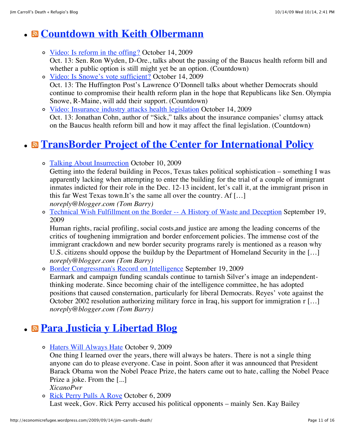# **[Countdown with Keith Olbermann](http://www.msnbc.msn.com/id/3036677/ns/msnbc_tv-countdown_with_keith_olbermann/)**

- [Video: Is reform in the offing?](http://www.msnbc.msn.com/id/3036677/vp/33301044#33301044) October 14, 2009 Oct. 13: Sen. Ron Wyden, D-Ore., talks about the passing of the Baucus health reform bill and whether a public option is still might yet be an option. (Countdown)
- [Video: Is Snowe's vote sufficient?](http://www.msnbc.msn.com/id/3036677/vp/33301087#33301087) October 14, 2009 Oct. 13: The Huffington Post's Lawrence O'Donnell talks about whether Democrats should continue to compromise their health reform plan in the hope that Republicans like Sen. Olympia Snowe, R-Maine, will add their support. (Countdown)
- o [Video: Insurance industry attacks health legislation](http://www.msnbc.msn.com/id/3036677/vp/33301176#33301176) October 14, 2009 Oct. 13: Jonathan Cohn, author of "Sick," talks about the insurance companies' clumsy attack on the Baucus health reform bill and how it may affect the final legislation. (Countdown)

# **[TransBorder Project of the Center for International Policy](http://borderlinesblog.blogspot.com/)**

o [Talking About Insurrection](http://borderlinesblog.blogspot.com/2009/10/talking-about-insurrection.html) October 10, 2009

Getting into the federal building in Pecos, Texas takes political sophistication – something I was apparently lacking when attempting to enter the building for the trial of a couple of immigrant inmates indicted for their role in the Dec. 12-13 incident, let's call it, at the immigrant prison in this far West Texas town.It's the same all over the country. Af […] *noreply@blogger.com (Tom Barry)*

[Technical Wish Fulfillment on the Border -- A History of Waste and Deception](http://borderlinesblog.blogspot.com/2009/09/technical-wish-fulfillment-on-border.html) September 19, 2009

Human rights, racial profiling, social costs,and justice are among the leading concerns of the critics of toughening immigration and border enforcement policies. The immense cost of the immigrant crackdown and new border security programs rarely is mentioned as a reason why U.S. citizens should oppose the buildup by the Department of Homeland Security in the […] *noreply@blogger.com (Tom Barry)*

[Border Congressman's Record on Intelligence](http://borderlinesblog.blogspot.com/2009/09/border-congressmans-record-on.html) September 19, 2009 Earmark and campaign funding scandals continue to tarnish Silver's image an independentthinking moderate. Since becoming chair of the intelligence committee, he has adopted positions that caused consternation, particularly for liberal Democrats. Reyes' vote against the October 2002 resolution authorizing military force in Iraq, his support for immigration r [...] *noreply@blogger.com (Tom Barry)*

# **[Para Justicia y Libertad Blog](http://xicanopwr.com/)**

o [Haters Will Always Hate](http://xicanopwr.com/2009/10/haters-will-always-hate/) October 9, 2009

One thing I learned over the years, there will always be haters. There is not a single thing anyone can do to please everyone. Case in point. Soon after it was announced that President Barack Obama won the Nobel Peace Prize, the haters came out to hate, calling the Nobel Peace Prize a joke. From the [...]

*XicanoPwr*

[Rick Perry Pulls A Rove](http://xicanopwr.com/2009/10/rick-perry-pulls-a-rove/) October 6, 2009

Last week, Gov. Rick Perry accused his political opponents – mainly Sen. Kay Bailey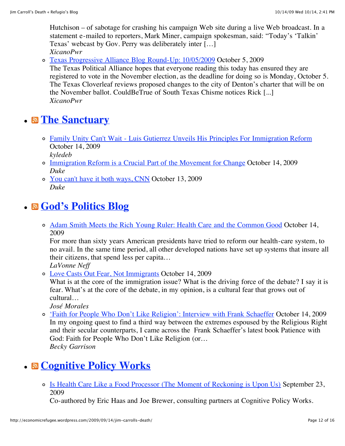Hutchison – of sabotage for crashing his campaign Web site during a live Web broadcast. In a statement e-mailed to reporters, Mark Miner, campaign spokesman, said: "Today's 'Talkin' Texas' webcast by Gov. Perry was deliberately inter […] *XicanoPwr*

[Texas Progressive Alliance Blog Round-Up: 10/05/2009](http://xicanopwr.com/2009/10/texas-progressive-alliance-blog-round-up-10052009/) October 5, 2009

The Texas Political Alliance hopes that everyone reading this today has ensured they are registered to vote in the November election, as the deadline for doing so is Monday, October 5. The Texas Cloverleaf reviews proposed changes to the city of Denton's charter that will be on the November ballot. CouldBeTrue of South Texas Chisme notices Rick [...] *XicanoPwr*

# **B** [The Sanctuary](http://Promigrant.org/)

- [Family Unity Can't Wait Luis Gutierrez Unveils His Principles For Immigration Reform](http://Promigrant.org/diary/1036/family-unity-cant-wait-luis-gutierrez-unveils-his-principles-for-immigration-reform) October 14, 2009 *kyledeb*
- [Immigration Reform is a Crucial Part of the Movement for Change](http://Promigrant.org/diary/1035/immigration-reform-is-a-crucial-part-of-the-movement-for-change) October 14, 2009 *Duke*
- [You can't have it both ways, CNN](http://Promigrant.org/diary/1034/you-cant-have-it-both-ways-cnn) October 13, 2009 *Duke*

#### **[God's Politics Blog](http://blog.sojo.net/)**

[Adam Smith Meets the Rich Young Ruler: Health Care and the Common Good](http://blog.sojo.net/2009/10/14/adam-smith-meets-the-rich-young-ruler-health-care-and-the-common-good/) October 14, 2009

For more than sixty years American presidents have tried to reform our health-care system, to no avail. In the same time period, all other developed nations have set up systems that insure all their citizens, that spend less per capita…

*LaVonne Neff*

[Love Casts Out Fear, Not Immigrants](http://blog.sojo.net/2009/10/14/love-casts-out-fear-not-immigrants/) October 14, 2009

What is at the core of the immigration issue? What is the driving force of the debate? I say it is fear. What's at the core of the debate, in my opinion, is a cultural fear that grows out of cultural…

*José Morales*

['Faith for People Who Don't Like Religion': Interview with Frank Schaeffer](http://blog.sojo.net/2009/10/14/faith-for-people-who-dont-like-religion-interview-with-frank-schaeffer/) October 14, 2009 In my ongoing quest to find a third way between the extremes espoused by the Religious Right and their secular counterparts, I came across the Frank Schaeffer's latest book Patience with God: Faith for People Who Don't Like Religion (or… *Becky Garrison*

# **[Cognitive Policy Works](http://www.cognitivepolicyworks.com/)**

[Is Health Care Like a Food Processor \(The Moment of Reckoning is Upon Us\)](http://www.cognitivepolicyworks.com/2009/09/23/is-health-care-like-a-food-processor/) September 23, 2009

Co-authored by Eric Haas and Joe Brewer, consulting partners at Cognitive Policy Works.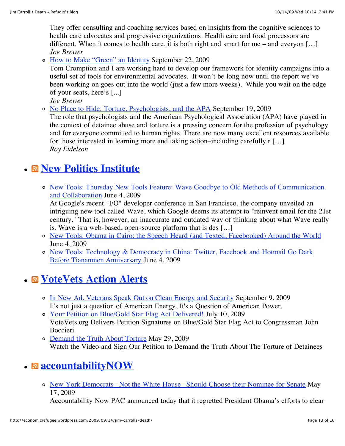They offer consulting and coaching services based on insights from the cognitive sciences to health care advocates and progressive organizations. Health care and food processors are different. When it comes to health care, it is both right and smart for me – and everyon [...] *Joe Brewer*

o [How to Make "Green" an Identity](http://www.cognitivepolicyworks.com/2009/09/22/how-to-make-green-an-identity/) September 22, 2009

Tom Cromption and I are working hard to develop our framework for identity campaigns into a useful set of tools for environmental advocates. It won't be long now until the report we've been working on goes out into the world (just a few more weeks). While you wait on the edge of your seats, here's [...]

*Joe Brewer*

[No Place to Hide: Torture, Psychologists, and the APA](http://www.cognitivepolicyworks.com/2009/09/18/no-place-to-hide-torture-psychologists-and-the-apa/) September 19, 2009

The role that psychologists and the American Psychological Association (APA) have played in the context of detainee abuse and torture is a pressing concern for the profession of psychology and for everyone committed to human rights. There are now many excellent resources available for those interested in learning more and taking action–including carefully r […] *Roy Eidelson*

# **[New Politics Institute](http://www.newpolitics.net/aggregator/categories/1)**

[New Tools: Thursday New Tools Feature: Wave Goodbye to Old Methods of Communication](http://ndn.org/blog/2009/06/thursday-new-tools-feature-wave-goodbye-old-methods-communication-and-collaboration) and Collaboration June 4, 2009

At Google's recent "I/O" developer conference in San Francisco, the company unveiled an intriguing new tool called Wave, which Google deems its attempt to "reinvent email for the 21st century." That is, however, an inaccurate and outdated way of thinking about what Wave really is. Wave is a web-based, open-source platform that is des […]

- [New Tools: Obama in Cairo: the Speech Heard \(and Texted, Facebooked\) Around the World](http://ndn.org/blog/2009/06/obama-cairo-speech-heard-and-texted-facebooked-around-world) June 4, 2009
- [New Tools: Technology & Democracy in China: Twitter, Facebook and Hotmail Go Dark](http://ndn.org/blog/2009/06/technology-democracy-china-twitter-facebook-and-hotmail-go-dark-tiananmen-anniversary) Before Tiananmen Anniversary June 4, 2009

# **[VoteVets Action Alerts](http://www.votevets.org/)**

o [In New Ad, Veterans Speak Out on Clean Energy and Security](http://votevets.org/pages/?id=0028) September 9, 2009 It's not just a question of American Energy, It's a Question of American Power.

[Your Petition on Blue/Gold Star Flag Act Delivered!](http://votevets.org/news?id=0235) July 10, 2009 VoteVets.org Delivers Petition Signatures on Blue/Gold Star Flag Act to Congressman John Boccieri

o [Demand the Truth About Torture](http://votevets.org/pages/?id=0025) May 29, 2009 Watch the Video and Sign Our Petition to Demand the Truth About The Torture of Detainees

# **a** accountability **NOW**

[New York Democrats– Not the White House– Should Choose their Nominee for Senate](http://accountabilitynowpac.com/2009/05/17/new-york-democrats-not-the-white-house-should-choose-their-nominee-for-senate/) May 17, 2009

Accountability Now PAC announced today that it regretted President Obama's efforts to clear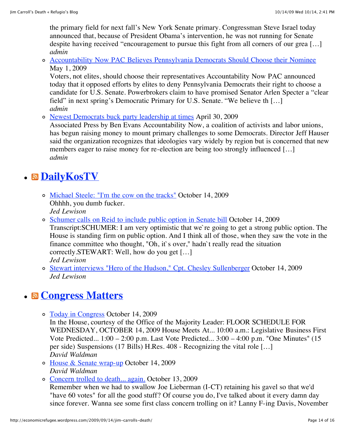the primary field for next fall's New York Senate primary. Congressman Steve Israel today announced that, because of President Obama's intervention, he was not running for Senate despite having received "encouragement to pursue this fight from all corners of our grea [...] *admin*

[Accountability Now PAC Believes Pennsylvania Democrats Should Choose their Nominee](http://accountabilitynowpac.com/2009/05/01/accountability-now-pac-believes-pennsylvania-democrats-should-choose-their-nominee/) May 1, 2009

Voters, not elites, should choose their representatives Accountability Now PAC announced today that it opposed efforts by elites to deny Pennsylvania Democrats their right to choose a candidate for U.S. Senate. Powerbrokers claim to have promised Senator Arlen Specter a "clear field" in next spring's Democratic Primary for U.S. Senate. "We believe th […] *admin*

[Newest Democrats buck party leadership at times](http://accountabilitynowpac.com/2009/04/30/newest-democrats-buck-party-leadership-at-times/) April 30, 2009

Associated Press by Ben Evans Accountability Now, a coalition of activists and labor unions, has begun raising money to mount primary challenges to some Democrats. Director Jeff Hauser said the organization recognizes that ideologies vary widely by region but is concerned that new members eager to raise money for re-election are being too strongly influenced […] *admin*

# **[DailyKosTV](http://www.dailykostv.com/videofeed.xml)**

- [Michael Steele: "I'm the cow on the tracks"](http://www.dailykostv.com/) October 14, 2009 Ohhhh, you dumb fucker. *Jed Lewison*
- [Schumer calls on Reid to include public option in Senate bill](http://www.dailykostv.com/) October 14, 2009 Transcript:SCHUMER: I am very optimistic that we`re going to get a strong public option. The House is standing firm on public option. And I think all of those, when they saw the vote in the finance committee who thought, "Oh, it`s over," hadn`t really read the situation correctly.STEWART: Well, how do you get […] *Jed Lewison*
- [Stewart interviews "Hero of the Hudson," Cpt. Chesley Sullenberger](http://www.dailykostv.com/) October 14, 2009 *Jed Lewison*

# **[Congress Matters](http://www.congressmatters.com/)**

[Today in Congress](http://www.congressmatters.com/storyonly/2009/10/14/84722/407) October 14, 2009

In the House, courtesy of the Office of the Majority Leader: FLOOR SCHEDULE FOR WEDNESDAY, OCTOBER 14, 2009 House Meets At... 10:00 a.m.: Legislative Business First Vote Predicted... 1:00 – 2:00 p.m. Last Vote Predicted... 3:00 – 4:00 p.m. "One Minutes" (15 per side) Suspensions (17 Bills) H.Res. 408 - Recognizing the vital role […] *David Waldman*

- [House & Senate wrap-up](http://www.congressmatters.com/storyonly/2009/10/13/22517/436) October 14, 2009 *David Waldman*
- o [Concern trolled to death... again.](http://www.congressmatters.com/storyonly/2009/10/13/18055/785) October 13, 2009

Remember when we had to swallow Joe Lieberman (I-CT) retaining his gavel so that we'd "have 60 votes" for all the good stuff? Of course you do, I've talked about it every damn day since forever. Wanna see some first class concern trolling on it? Lanny F-ing Davis, November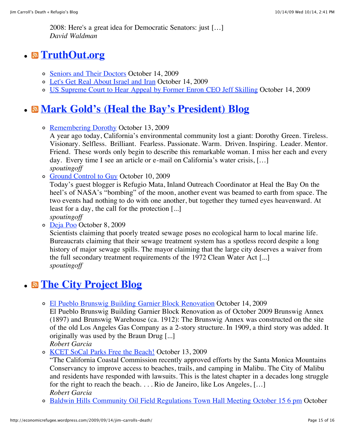2008: Here's a great idea for Democratic Senators: just […] *David Waldman*

# **[TruthOut.org](http://www.truthout.org/articles/feed)**

- o [Seniors and Their Doctors](http://www.truthout.org/1014097) October 14, 2009
- [Let's Get Real About Israel and Iran](http://www.truthout.org/1014096) October 14, 2009
- [US Supreme Court to Hear Appeal by Former Enron CEO Jeff Skilling](http://www.truthout.org/1014095) October 14, 2009

# **[Mark Gold's \(Heal the Bay's President\) Blog](http://spoutingoff.wordpress.com/)**

o [Remembering Dorothy](http://spoutingoff.wordpress.com/2009/10/13/remembering-dorothy/) October 13, 2009

A year ago today, California's environmental community lost a giant: Dorothy Green. Tireless. Visionary. Selfless. Brilliant. Fearless. Passionate. Warm. Driven. Inspiring. Leader. Mentor. Friend. These words only begin to describe this remarkable woman. I miss her each and every day. Every time I see an article or e-mail on California's water crisis, […] *spoutingoff*

o [Ground Control to Guy](http://spoutingoff.wordpress.com/2009/10/10/ground-control-to-guy/) October 10, 2009

Today's guest blogger is Refugio Mata, Inland Outreach Coordinator at Heal the Bay On the heel's of NASA's "bombing" of the moon, another event was beamed to earth from space. The two events had nothing to do with one another, but together they turned eyes heavenward. At least for a day, the call for the protection [...] *spoutingoff*

[Deja Poo](http://spoutingoff.wordpress.com/2009/10/08/deja-poo/) October 8, 2009

Scientists claiming that poorly treated sewage poses no ecological harm to local marine life. Bureaucrats claiming that their sewage treatment system has a spotless record despite a long history of major sewage spills. The mayor claiming that the large city deserves a waiver from the full secondary treatment requirements of the 1972 Clean Water Act [...] *spoutingoff*

# **[The City Project Blog](http://www.cityprojectca.org/blog)**

[El Pueblo Brunswig Building Garnier Block Renovation](http://www.cityprojectca.org/blog/archives/2608) October 14, 2009

El Pueblo Brunswig Building Garnier Block Renovation as of October 2009 Brunswig Annex (1897) and Brunswig Warehouse (ca. 1912): The Brunswig Annex was constructed on the site of the old Los Angeles Gas Company as a 2-story structure. In 1909, a third story was added. It originally was used by the Braun Drug [...]

*Robert Garcia*

[KCET SoCal Parks Free the Beach!](http://www.cityprojectca.org/blog/archives/2598) October 13, 2009

"The California Coastal Commission recently approved efforts by the Santa Monica Mountains Conservancy to improve access to beaches, trails, and camping in Malibu. The City of Malibu and residents have responded with lawsuits. This is the latest chapter in a decades long struggle for the right to reach the beach. . . . Rio de Janeiro, like Los Angeles, […] *Robert Garcia*

[Baldwin Hills Community Oil Field Regulations Town Hall Meeting October 15 6 pm](http://www.cityprojectca.org/blog/archives/2591) October